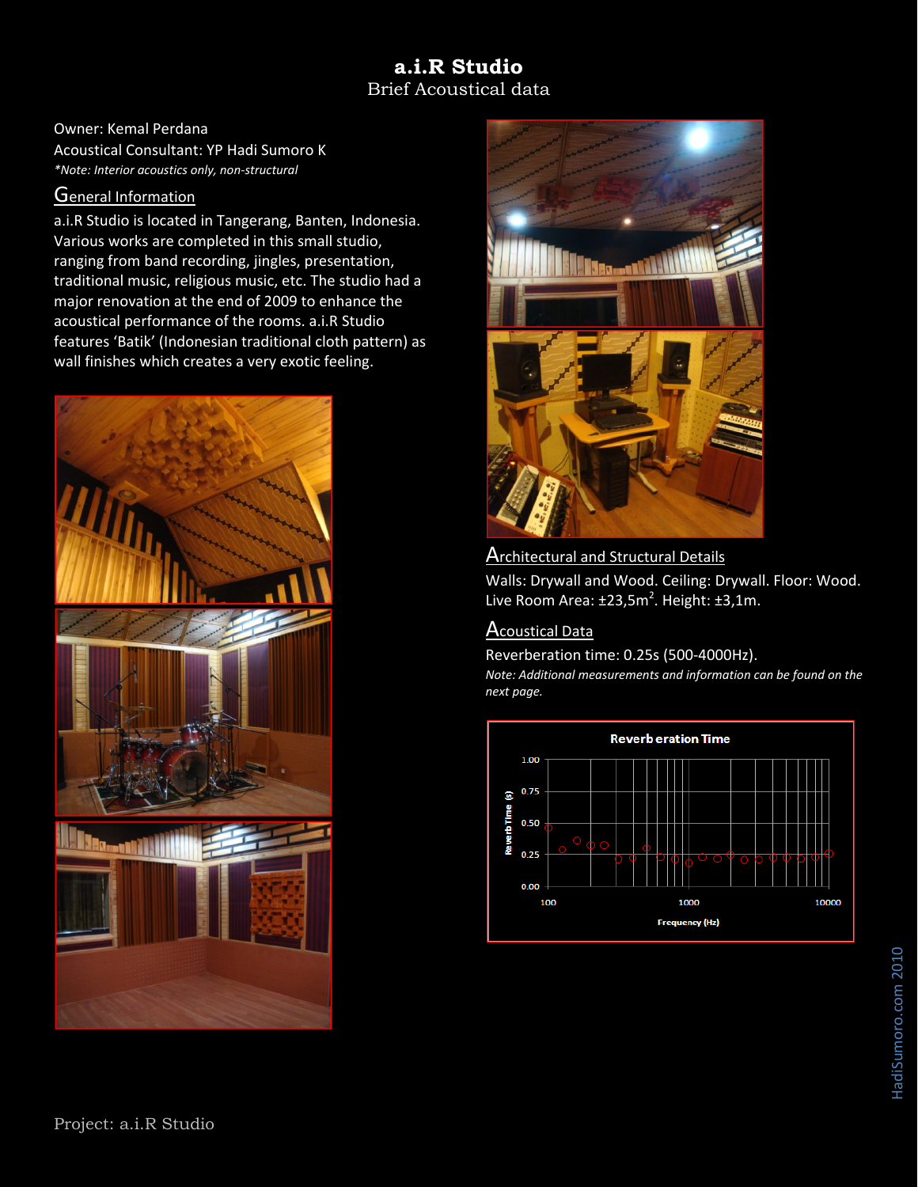# **a.i.R Studio**  Brief Acoustical data

Owner: Kemal Perdana Acoustical Consultant: YP Hadi Sumoro K *\*Note: Interior acoustics only, non‐structural*

#### General Information

a.i.R Studio is located in Tangerang, Banten, Indonesia. Various works are completed in this small studio, ranging from band recording, jingles, presentation, traditional music, religious music, etc. The studio had a major renovation at the end of 2009 to enhance the acoustical performance of the rooms. a.i.R Studio features 'Batik' (Indonesian traditional cloth pattern) as wall finishes which creates a very exotic feeling.





### **Architectural and Structural Details**

Walls: Drywall and Wood. Ceiling: Drywall. Floor: Wood. Live Room Area:  $\pm 23.5$ m<sup>2</sup>. Height:  $\pm 3.1$ m.

### Acoustical Data

Reverberation time: 0.25s (500‐4000Hz).

*Note: Additional measurements and information can be found on the next page.*

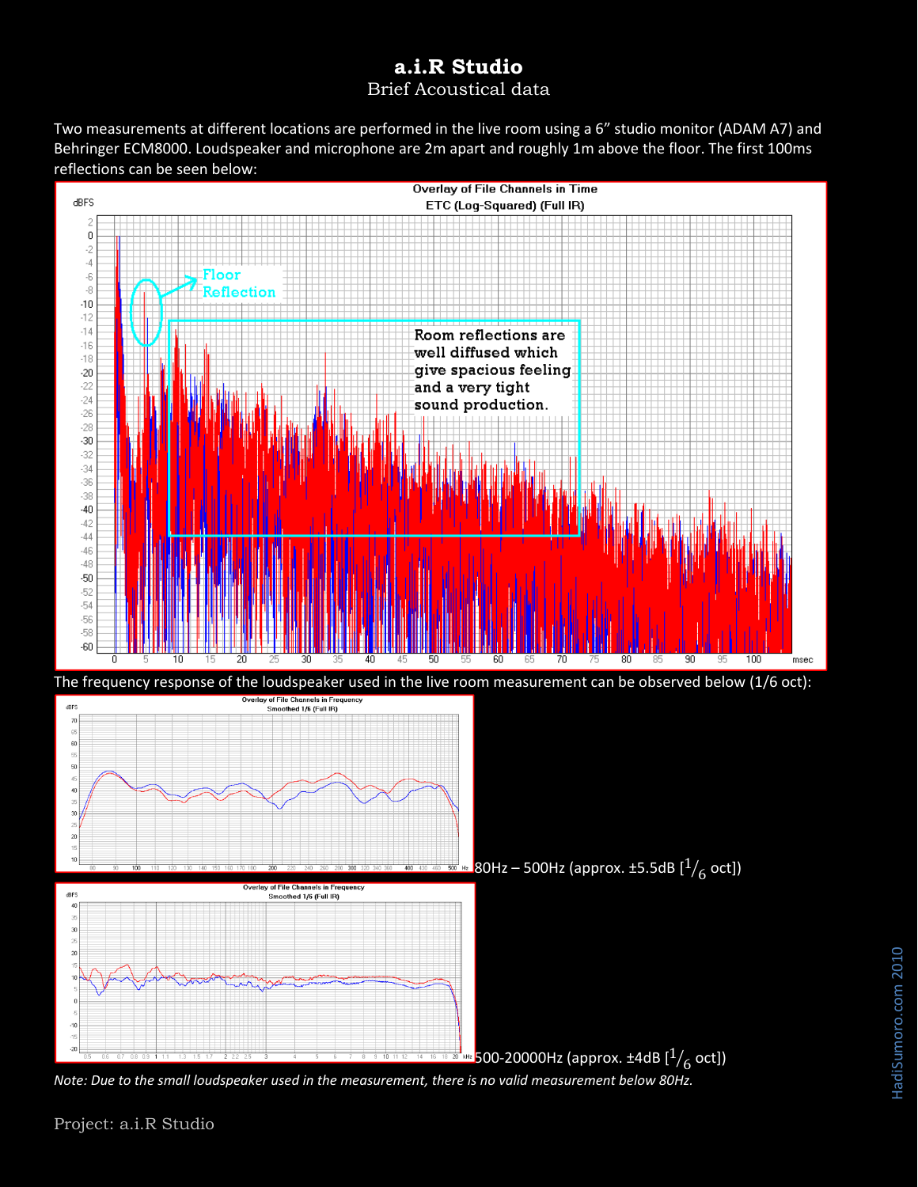# **a.i.R Studio**  Brief Acoustical data

Two measurements at different locations are performed in the live room using a 6" studio monitor (ADAM A7) and Behringer ECM8000. Loudspeaker and microphone are 2m apart and roughly 1m above the floor. The first 100ms reflections can be seen below:



*Note: Due to the small loudspeaker used in the measurement, there is no valid measurement below 80Hz.*

Project: a.i.R Studio